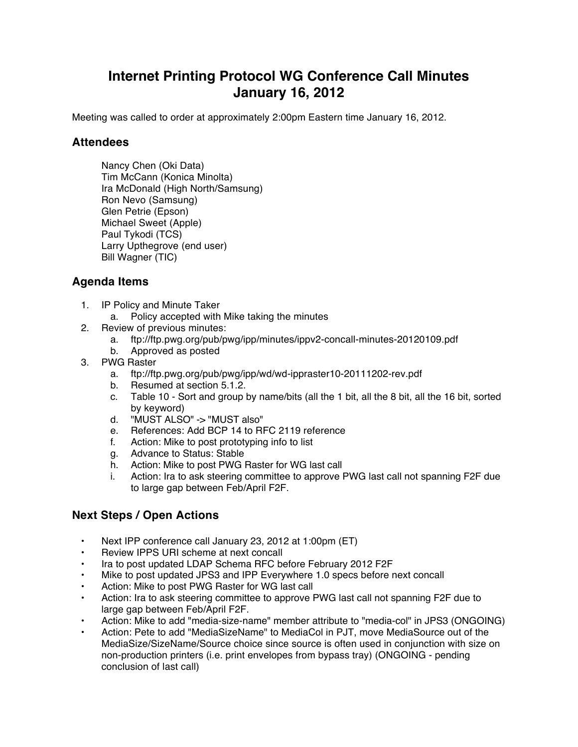## **Internet Printing Protocol WG Conference Call Minutes January 16, 2012**

Meeting was called to order at approximately 2:00pm Eastern time January 16, 2012.

## **Attendees**

Nancy Chen (Oki Data) Tim McCann (Konica Minolta) Ira McDonald (High North/Samsung) Ron Nevo (Samsung) Glen Petrie (Epson) Michael Sweet (Apple) Paul Tykodi (TCS) Larry Upthegrove (end user) Bill Wagner (TIC)

## **Agenda Items**

- 1. IP Policy and Minute Taker
	- a. Policy accepted with Mike taking the minutes
- 2. Review of previous minutes:
	- a. ftp://ftp.pwg.org/pub/pwg/ipp/minutes/ippv2-concall-minutes-20120109.pdf
	- b. Approved as posted
- 3. PWG Raster
	- a. ftp://ftp.pwg.org/pub/pwg/ipp/wd/wd-ippraster10-20111202-rev.pdf
	- b. Resumed at section 5.1.2.
	- c. Table 10 Sort and group by name/bits (all the 1 bit, all the 8 bit, all the 16 bit, sorted by keyword)
	- d. "MUST ALSO" -> "MUST also"
	- e. References: Add BCP 14 to RFC 2119 reference
	- f. Action: Mike to post prototyping info to list
	- g. Advance to Status: Stable
	- h. Action: Mike to post PWG Raster for WG last call
	- i. Action: Ira to ask steering committee to approve PWG last call not spanning F2F due to large gap between Feb/April F2F.

## **Next Steps / Open Actions**

- Next IPP conference call January 23, 2012 at 1:00pm (ET)
- Review IPPS URI scheme at next concall
- Ira to post updated LDAP Schema RFC before February 2012 F2F
- Mike to post updated JPS3 and IPP Everywhere 1.0 specs before next concall
- Action: Mike to post PWG Raster for WG last call
- Action: Ira to ask steering committee to approve PWG last call not spanning F2F due to large gap between Feb/April F2F.
- Action: Mike to add "media-size-name" member attribute to "media-col" in JPS3 (ONGOING)
- Action: Pete to add "MediaSizeName" to MediaCol in PJT, move MediaSource out of the MediaSize/SizeName/Source choice since source is often used in conjunction with size on non-production printers (i.e. print envelopes from bypass tray) (ONGOING - pending conclusion of last call)